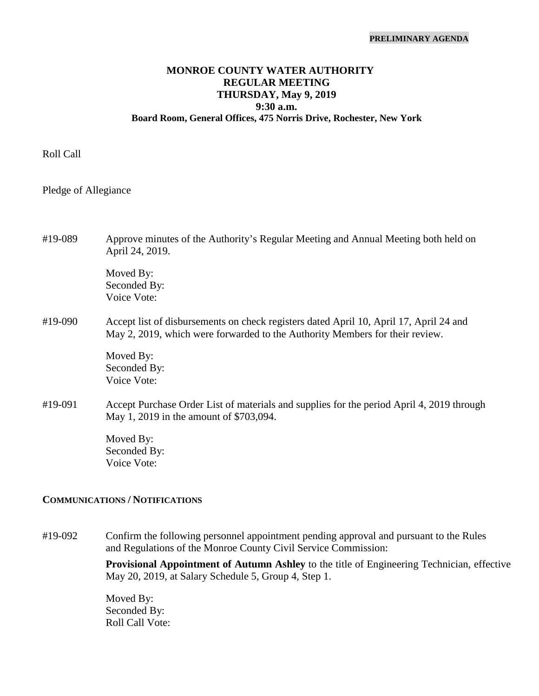# **MONROE COUNTY WATER AUTHORITY REGULAR MEETING THURSDAY, May 9, 2019 9:30 a.m. Board Room, General Offices, 475 Norris Drive, Rochester, New York**

Roll Call

Pledge of Allegiance

#19-089 Approve minutes of the Authority's Regular Meeting and Annual Meeting both held on April 24, 2019.

> Moved By: Seconded By: Voice Vote:

# #19-090 Accept list of disbursements on check registers dated April 10, April 17, April 24 and May 2, 2019, which were forwarded to the Authority Members for their review.

Moved By: Seconded By: Voice Vote:

#19-091 Accept Purchase Order List of materials and supplies for the period April 4, 2019 through May 1, 2019 in the amount of \$703,094.

> Moved By: Seconded By: Voice Vote:

#### **COMMUNICATIONS / NOTIFICATIONS**

#19-092 Confirm the following personnel appointment pending approval and pursuant to the Rules and Regulations of the Monroe County Civil Service Commission:

> **Provisional Appointment of Autumn Ashley** to the title of Engineering Technician, effective May 20, 2019, at Salary Schedule 5, Group 4, Step 1.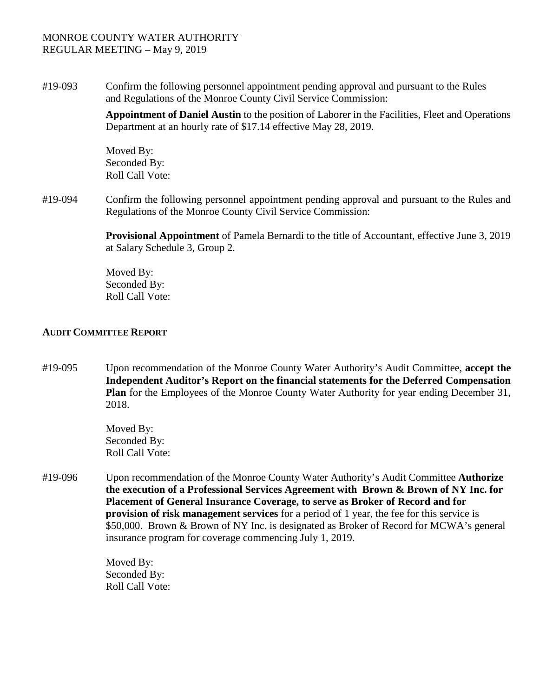#19-093 Confirm the following personnel appointment pending approval and pursuant to the Rules and Regulations of the Monroe County Civil Service Commission:

> **Appointment of Daniel Austin** to the position of Laborer in the Facilities, Fleet and Operations Department at an hourly rate of \$17.14 effective May 28, 2019.

Moved By: Seconded By: Roll Call Vote:

#19-094 Confirm the following personnel appointment pending approval and pursuant to the Rules and Regulations of the Monroe County Civil Service Commission:

> **Provisional Appointment** of Pamela Bernardi to the title of Accountant, effective June 3, 2019 at Salary Schedule 3, Group 2.

Moved By: Seconded By: Roll Call Vote:

### **AUDIT COMMITTEE REPORT**

#19-095 Upon recommendation of the Monroe County Water Authority's Audit Committee, **accept the Independent Auditor's Report on the financial statements for the Deferred Compensation Plan** for the Employees of the Monroe County Water Authority for year ending December 31, 2018.

> Moved By: Seconded By: Roll Call Vote:

#19-096 Upon recommendation of the Monroe County Water Authority's Audit Committee **Authorize the execution of a Professional Services Agreement with Brown & Brown of NY Inc. for Placement of General Insurance Coverage, to serve as Broker of Record and for provision of risk management services** for a period of 1 year, the fee for this service is \$50,000. Brown & Brown of NY Inc. is designated as Broker of Record for MCWA's general insurance program for coverage commencing July 1, 2019.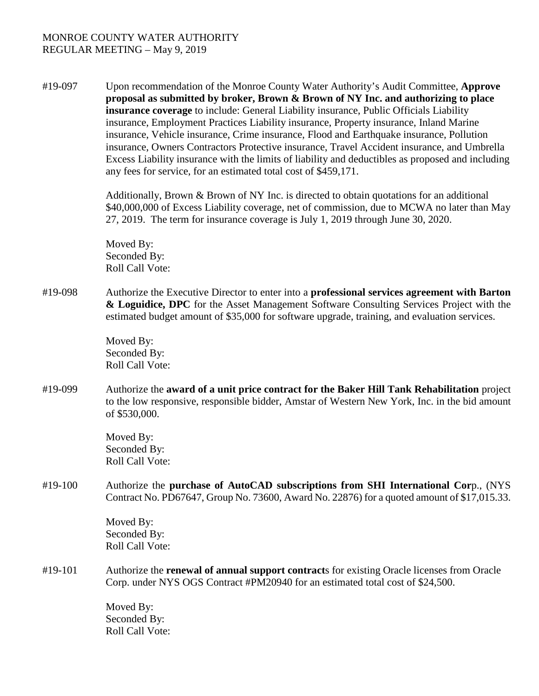#19-097 Upon recommendation of the Monroe County Water Authority's Audit Committee, **Approve proposal as submitted by broker, Brown & Brown of NY Inc. and authorizing to place insurance coverage** to include: General Liability insurance, Public Officials Liability insurance, Employment Practices Liability insurance, Property insurance, Inland Marine insurance, Vehicle insurance, Crime insurance, Flood and Earthquake insurance, Pollution insurance, Owners Contractors Protective insurance, Travel Accident insurance, and Umbrella Excess Liability insurance with the limits of liability and deductibles as proposed and including any fees for service, for an estimated total cost of \$459,171.

> Additionally, Brown & Brown of NY Inc. is directed to obtain quotations for an additional \$40,000,000 of Excess Liability coverage, net of commission, due to MCWA no later than May 27, 2019. The term for insurance coverage is July 1, 2019 through June 30, 2020.

Moved By: Seconded By: Roll Call Vote:

#19-098 Authorize the Executive Director to enter into a **professional services agreement with Barton & Loguidice, DPC** for the Asset Management Software Consulting Services Project with the estimated budget amount of \$35,000 for software upgrade, training, and evaluation services.

> Moved By: Seconded By: Roll Call Vote:

#19-099 Authorize the **award of a unit price contract for the Baker Hill Tank Rehabilitation** project to the low responsive, responsible bidder, Amstar of Western New York, Inc. in the bid amount of \$530,000.

> Moved By: Seconded By: Roll Call Vote:

#19-100 Authorize the **purchase of AutoCAD subscriptions from SHI International Cor**p., (NYS Contract No. PD67647, Group No. 73600, Award No. 22876) for a quoted amount of \$17,015.33.

> Moved By: Seconded By: Roll Call Vote:

#19-101 Authorize the **renewal of annual support contract**s for existing Oracle licenses from Oracle Corp. under NYS OGS Contract #PM20940 for an estimated total cost of \$24,500.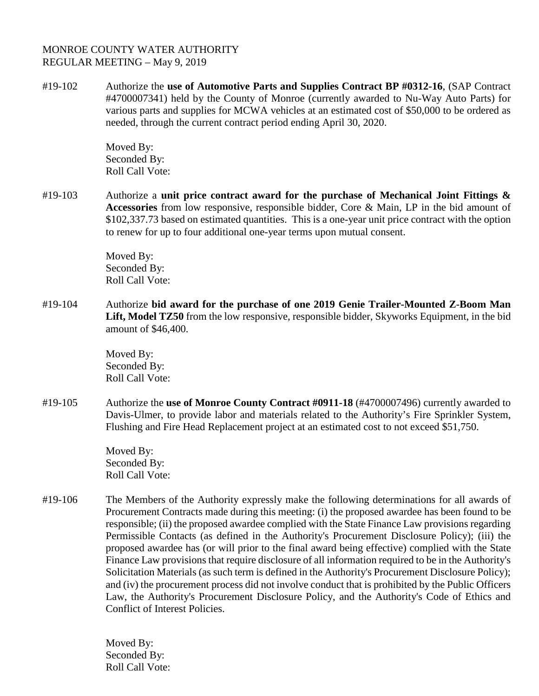#19-102 Authorize the **use of Automotive Parts and Supplies Contract BP #0312-16**, (SAP Contract #4700007341) held by the County of Monroe (currently awarded to Nu-Way Auto Parts) for various parts and supplies for MCWA vehicles at an estimated cost of \$50,000 to be ordered as needed, through the current contract period ending April 30, 2020.

> Moved By: Seconded By: Roll Call Vote:

#19-103 Authorize a **unit price contract award for the purchase of Mechanical Joint Fittings & Accessories** from low responsive, responsible bidder, Core & Main, LP in the bid amount of \$102,337.73 based on estimated quantities. This is a one-year unit price contract with the option to renew for up to four additional one-year terms upon mutual consent.

> Moved By: Seconded By: Roll Call Vote:

#19-104 Authorize **bid award for the purchase of one 2019 Genie Trailer-Mounted Z-Boom Man Lift, Model TZ50** from the low responsive, responsible bidder, Skyworks Equipment, in the bid amount of \$46,400.

> Moved By: Seconded By: Roll Call Vote:

#19-105 Authorize the **use of Monroe County Contract #0911-18** (#4700007496) currently awarded to Davis-Ulmer, to provide labor and materials related to the Authority's Fire Sprinkler System, Flushing and Fire Head Replacement project at an estimated cost to not exceed \$51,750.

> Moved By: Seconded By: Roll Call Vote:

#19-106 The Members of the Authority expressly make the following determinations for all awards of Procurement Contracts made during this meeting: (i) the proposed awardee has been found to be responsible; (ii) the proposed awardee complied with the State Finance Law provisions regarding Permissible Contacts (as defined in the Authority's Procurement Disclosure Policy); (iii) the proposed awardee has (or will prior to the final award being effective) complied with the State Finance Law provisions that require disclosure of all information required to be in the Authority's Solicitation Materials (as such term is defined in the Authority's Procurement Disclosure Policy); and (iv) the procurement process did not involve conduct that is prohibited by the Public Officers Law, the Authority's Procurement Disclosure Policy, and the Authority's Code of Ethics and Conflict of Interest Policies.